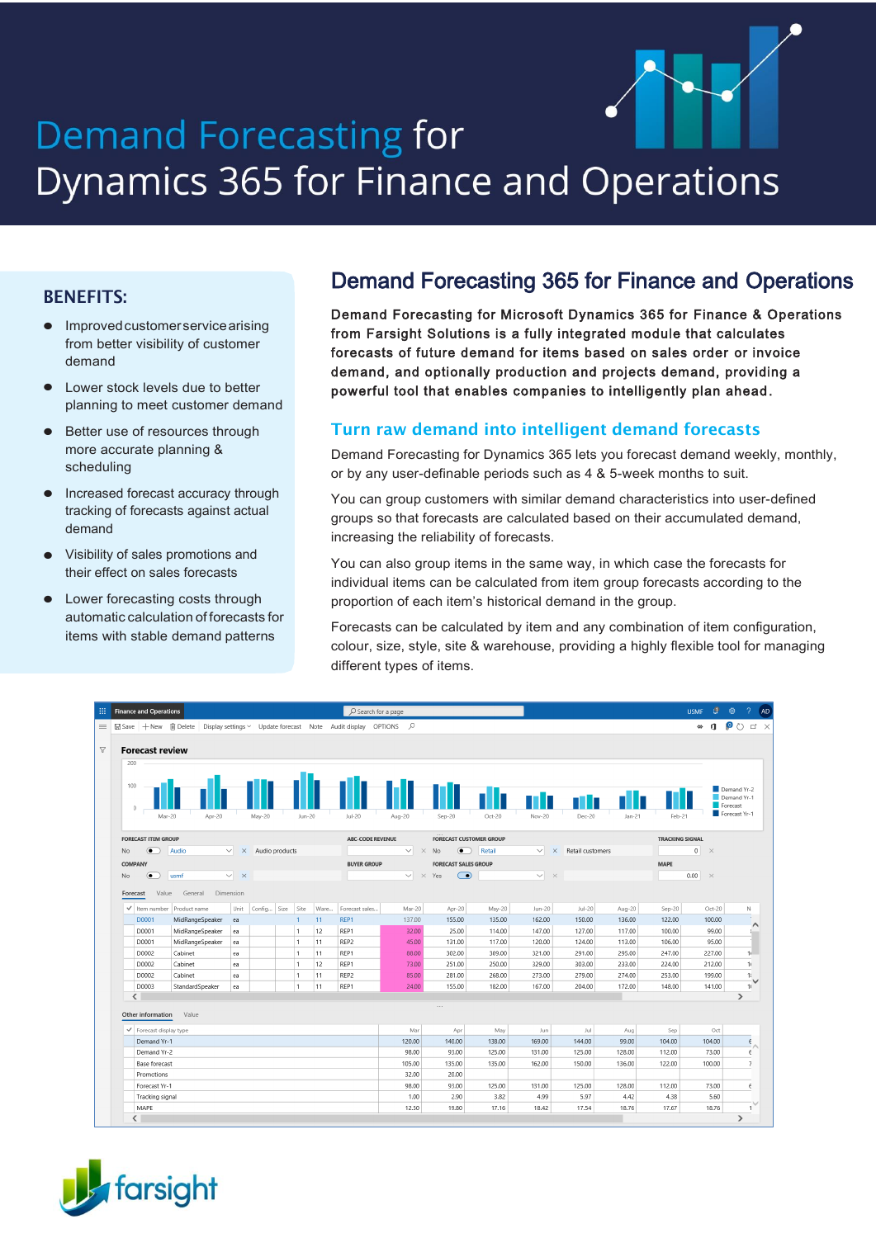# Demand Forecasting for Dynamics 365 for Finance and Operations

### BENEFITS:

- **•** Improvedcustomerservicearising from better visibility of customer demand
- **•** Lower stock levels due to better planning to meet customer demand
- **•** Better use of resources through more accurate planning & scheduling
- **•** Increased forecast accuracy through tracking of forecasts against actual demand
- **•** Visibility of sales promotions and their effect on sales forecasts
- **•** Lower forecasting costs through automatic calculation of forecasts for items with stable demand patterns

# Demand Forecasting 365 for Finance and Operations

Demand Forecasting for Microsoft Dynamics 365 for Finance & Operations from Farsight Solutions is a fully integrated module that calculates forecasts of future demand for items based on sales order or invoice demand, and optionally production and projects demand, providing a powerful tool that enables companies to intelligently plan ahead.

### Turn raw demand into intelligent demand forecasts

Demand Forecasting for Dynamics 365 lets you forecast demand weekly, monthly, or by any user-definable periods such as 4 & 5-week months to suit.

You can group customers with similar demand characteristics into user-defined groups so that forecasts are calculated based on their accumulated demand, increasing the reliability of forecasts.

You can also group items in the same way, in which case the forecasts for individual items can be calculated from item group forecasts according to the proportion of each item's historical demand in the group.

Forecasts can be calculated by item and any combination of item configuration, colour, size, style, site & warehouse, providing a highly flexible tool for managing different types of items.

|                            | <b>Finance and Operations</b>                                                         |                          |                |      |                              |          | O Search for a page |                     |                                |                  |                   |                           |                  |                        | <b>USMF</b>     | $\mathbf{\mathbf{\mu}}$ | -63                                                     |
|----------------------------|---------------------------------------------------------------------------------------|--------------------------|----------------|------|------------------------------|----------|---------------------|---------------------|--------------------------------|------------------|-------------------|---------------------------|------------------|------------------------|-----------------|-------------------------|---------------------------------------------------------|
|                            | 圖 Save + New m Delete Display settings ▽ Update forecast Note Audit display OPTIONS Q |                          |                |      |                              |          |                     |                     |                                |                  |                   |                           |                  |                        | $\infty$        |                         | $\mathbf{u} \otimes \mathbf{v}$                         |
| 200<br>100<br>$\mathbf{0}$ | <b>Forecast review</b><br>Apr-20<br>Mar-20                                            |                          | May-20         |      | Jun-20                       |          | $Jul-20$            | Aug-20              | $Sep-20$                       | $Oct-20$         | $Nov-20$          | Dec-20                    | $Jan-21$         | Feb-21                 |                 |                         | Demand Yr-2<br>Demand Yr-1<br>Forecast<br>Forecast Yr-1 |
| <b>FORECAST ITEM GROUP</b> |                                                                                       |                          |                |      |                              |          | ABC-CODE REVENUE    |                     | <b>FORECAST CUSTOMER GROUP</b> |                  |                   |                           |                  | <b>TRACKING SIGNAL</b> |                 |                         |                                                         |
| No.                        | Audio<br>$\bullet$                                                                    | $\times$<br>$\checkmark$ | Audio products |      |                              |          |                     | $\vee$ $\times$ No  | $\overline{\bullet}$           | Retail           | $\vee$            | $\times$ Retail customers |                  |                        | $0 \times$      |                         |                                                         |
| COMPANY                    |                                                                                       |                          |                |      |                              |          | <b>BUYER GROUP</b>  |                     | <b>FORECAST SALES GROUP</b>    |                  |                   |                           |                  | <b>MAPE</b>            |                 |                         |                                                         |
| No                         | $\bullet$<br>usmf                                                                     | $\times$ $\times$        |                |      |                              |          |                     | $\vee$ $\times$ Yes | $\bigcirc$                     |                  | $\times$ $\times$ |                           |                  |                        | $0.00$ $\times$ |                         |                                                         |
| Forecast                   | Value<br>General                                                                      | Dimension                |                |      |                              |          |                     |                     |                                |                  |                   |                           |                  |                        |                 |                         |                                                         |
|                            | $\checkmark$ Item number   Product name                                               | Unit                     | Config         | Size | Site                         | Ware     | Forecast sales      | Mar-20              | Apr-20                         | May-20           | Jun-20            | Jul-20                    | Aug-20           | $Sep-20$               |                 | $Oct-20$                | Ν<br>÷.                                                 |
| D0001                      | MidRangeSpeaker                                                                       | ea                       |                |      | $\mathbf{1}$                 | 11       | REP1                | 137.00              | 155.00                         | 135.00           | 162.00            | 150.00                    | 136.00           | 122.00                 |                 | 100.00                  | ∧                                                       |
| D0001                      | MidRangeSpeaker                                                                       | ea                       |                |      | 1                            | 12       | REP1                | 32.00               | 25.00                          | 114.00           | 147.00            | 127.00                    | 117.00           | 100.00                 |                 | 99.00                   |                                                         |
| D0001                      | MidRangeSpeaker                                                                       | ea                       |                |      | $\mathbf{1}$                 | 11       | REP2                | 45.00               | 131.00                         | 117.00           | 120.00            | 124.00                    | 113.00           | 106.00                 |                 | 95.00                   | 11                                                      |
| D0002<br>D0002             | Cabinet<br>Cabinet                                                                    | ea<br>ea                 |                |      | $\mathbf{1}$<br>$\mathbf{1}$ | 11<br>12 | REP1<br>REP1        | 88.00<br>73.00      | 302.00<br>251.00               | 309.00<br>250.00 | 321.00<br>329.00  | 291.00<br>303.00          | 295.00<br>233,00 | 247.00<br>224.00       |                 | 227.00<br>212.00        | 11                                                      |
| D0002                      | Cabinet                                                                               |                          |                |      | $\mathbf{1}$                 | 11       | REP2                | 85.00               | 281.00                         | 268.00           | 273.00            | 279.00                    | 274.00           | 253.00                 |                 | 199.00                  | 11                                                      |
| D0003                      | StandardSpeaker                                                                       | ea<br>ea                 |                |      | $\mathbf{1}$                 | 11       | REP1                | 24.00               | 155.00                         | 182.00           | 167.00            | 204.00                    | 172.00           | 148.00                 |                 | 141.00                  | 11                                                      |
| $\langle$                  |                                                                                       |                          |                |      |                              |          |                     |                     |                                |                  |                   |                           |                  |                        |                 |                         | $\rightarrow$                                           |
| Other information          | Value                                                                                 |                          |                |      |                              |          |                     |                     | $\cdots$                       |                  |                   |                           |                  |                        |                 |                         |                                                         |
|                            | $\checkmark$ Forecast display type                                                    |                          |                |      |                              |          |                     | Mar                 | Apr                            | May              | Jun               | Jul                       | Aug              | Sep                    |                 | Oct                     |                                                         |
|                            | Demand Yr-1                                                                           |                          |                |      |                              |          |                     | 120.00              | 140,00                         | 138.00           | 169.00            | 144.00                    | 99.00            | 104.00                 |                 | 104.00                  | $\epsilon$                                              |
| Demand Yr-2                |                                                                                       |                          |                |      |                              |          |                     | 98.00               | 93.00                          | 125.00           | 131.00            | 125.00                    | 128.00           | 112.00                 |                 | 73.00                   | $\epsilon$                                              |
|                            | <b>Base forecast</b>                                                                  |                          |                |      |                              |          |                     | 105.00              | 135.00                         | 135.00           | 162.00            | 150.00                    | 136.00           | 122.00                 |                 | 100.00                  | $\overline{1}$                                          |
|                            | Promotions                                                                            |                          |                |      |                              |          |                     | 32.00               | 20.00                          |                  |                   |                           |                  |                        |                 |                         |                                                         |
|                            | Forecast Yr-1                                                                         |                          |                |      |                              |          |                     | 98.00               | 93.00                          | 125.00           | 131.00            | 125.00                    | 128.00           | 112.00                 |                 | 73.00                   | $\epsilon$                                              |
|                            | Tracking signal                                                                       |                          |                |      |                              |          |                     | 1.00                | 2.90                           | 3.82             | 4.99              | 5.97                      | 4.42             | 4.38                   |                 | 5.60                    |                                                         |
| MAPE                       |                                                                                       |                          |                |      |                              |          |                     | 12.50               | 19,80                          | 17.16            | 18.42             | 17.54                     | 18.76            | 17.67                  |                 | 18.76                   |                                                         |

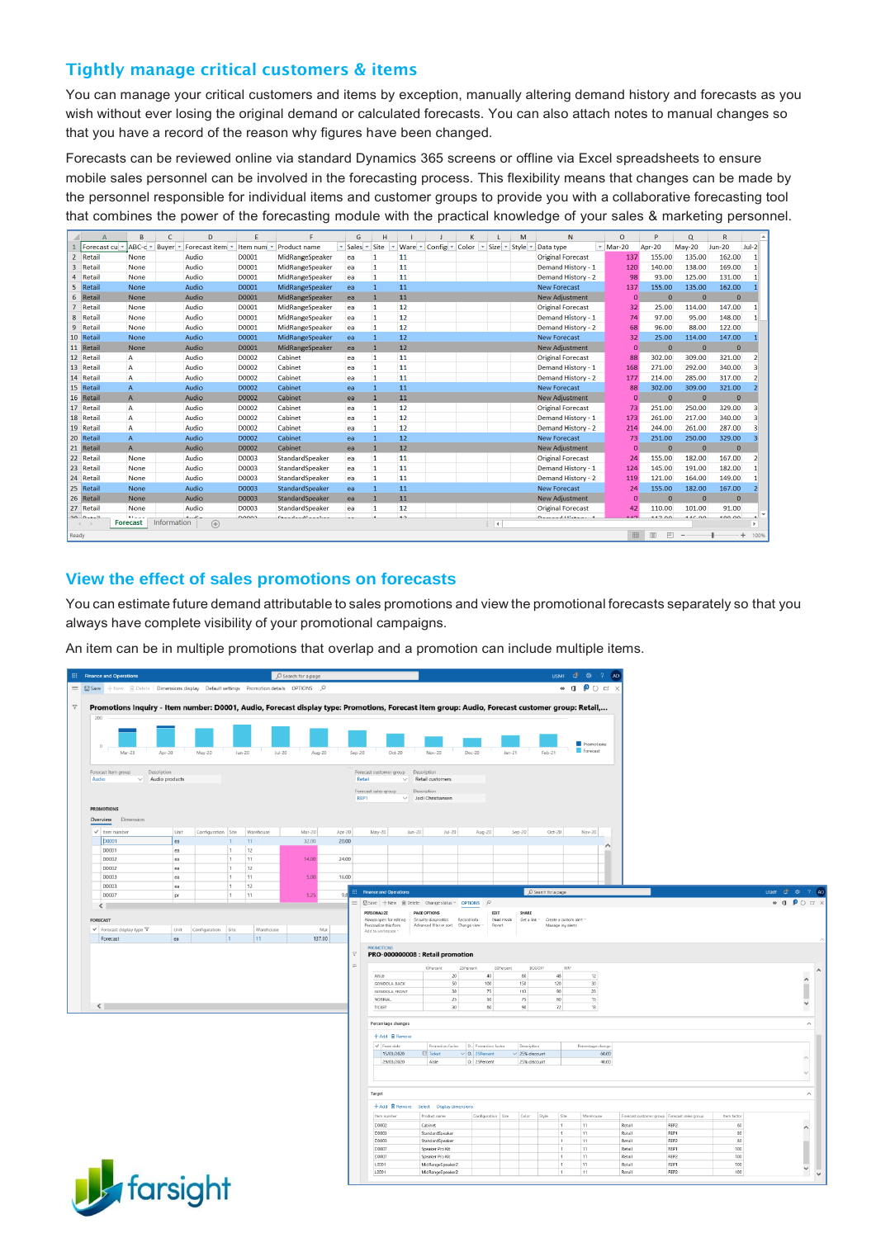## Tightly manage critical customers & items

You can manage your critical customers and items by exception, manually altering demand history and forecasts as you wish without ever losing the original demand or calculated forecasts. You can also attach notes to manual changes so that you have a record of the reason why figures have been changed.

Forecasts can be reviewed online via standard Dynamics 365 screens or offline via Excel spreadsheets to ensure mobile sales personnel can be involved in the forecasting process. This flexibility means that changes can be made by the personnel responsible for individual items and customer groups to provide you with a collaborative forecasting tool that combines the power of the forecasting module with the practical knowledge of your sales & marketing personnel.

|       |               | R.                            | c            | D                                      | F            |                          | G         |                |                 |                                   | K          |                             | M | N                         | $\circ$       | p             | $\mathbf Q$  | $\mathsf{R}$   |          |
|-------|---------------|-------------------------------|--------------|----------------------------------------|--------------|--------------------------|-----------|----------------|-----------------|-----------------------------------|------------|-----------------------------|---|---------------------------|---------------|---------------|--------------|----------------|----------|
|       | Forecast cu   | ABC-c +                       | <b>Buver</b> | Forecast item -                        | Item num *   | <b>Product name</b>      | * Sales * | Site           |                 | Ware $\sqrt{ }$ Config $\sqrt{ }$ | Color<br>× | $Size - Stvle$              |   | Data type                 | $\sim$ Mar-20 | <b>Apr-20</b> | $May-20$     | <b>Jun-20</b>  | $Jul-2$  |
|       | 2 Retail      | <b>None</b>                   |              | Audio                                  | D0001        | <b>MidRangeSpeaker</b>   | ea        |                | 11              |                                   |            |                             |   | <b>Original Forecast</b>  | 137           | 155.00        | 135.00       | 162.00         |          |
| 3     | Retail        | <b>None</b>                   |              | Audio                                  | D0001        | <b>MidRangeSpeaker</b>   | ea        | 1              | 11              |                                   |            |                             |   | <b>Demand History - 1</b> | 120           | 140.00        | 138.00       | 169.00         |          |
|       | Retail        | <b>None</b>                   |              | Audio                                  | D0001        | MidRangeSpeaker          | ea        |                | 11              |                                   |            |                             |   | Demand History - 2        | 98            | 93.00         | 125.00       | 131.00         |          |
|       | 5 Retail      | None                          |              | Audio                                  | D0001        | MidRangeSpeaker          | ea        | $\overline{1}$ | 11              |                                   |            |                             |   | <b>New Forecast</b>       | 137           | 155.00        | 135.00       | 162.00         |          |
|       | 6 Retail      | <b>None</b>                   |              | Audio                                  | D0001        | MidRangeSpeaker          | ea        |                | 11              |                                   |            |                             |   | <b>New Adjustment</b>     | $\mathbf{0}$  | $\mathbf{0}$  | $\mathbf{0}$ | $\overline{0}$ |          |
|       | Retail        | <b>None</b>                   |              | Audio                                  | D0001        | MidRangeSpeaker          | ea        | 1              | 12              |                                   |            |                             |   | <b>Original Forecast</b>  | 32            | 25.00         | 114.00       | 147.00         |          |
| 8     | Retail        | <b>None</b>                   |              | Audio                                  | D0001        | MidRangeSpeaker          | ea        | 1              | 12              |                                   |            |                             |   | Demand History - 1        | 74            | 97.00         | 95.00        | 148.00         |          |
| 9     | Retail        | None                          |              | Audio                                  | D0001        | MidRangeSpeaker          | ea        | 1              | 12              |                                   |            |                             |   | <b>Demand History - 2</b> | 68            | 96.00         | 88.00        | 122.00         |          |
|       | 10 Retail     | None                          |              | Audio                                  | D0001        | MidRangeSpeaker          | ea        |                | 12              |                                   |            |                             |   | <b>New Forecast</b>       | 32            | 25.00         | 114.00       | 147.00         |          |
|       | 11 Retail     | <b>None</b>                   |              | Audio                                  | D0001        | MidRangeSpeaker          | ea        |                | 12              |                                   |            |                             |   | <b>New Adjustment</b>     | $\bf{0}$      | $\mathbf{0}$  | $\mathbf{0}$ | $\overline{0}$ |          |
|       | 12 Retail     | A                             |              | Audio                                  | D0002        | Cabinet                  | ea        | 1              | 11              |                                   |            |                             |   | <b>Original Forecast</b>  | 88            | 302.00        | 309.00       | 321.00         |          |
|       | 13 Retail     | A                             |              | Audio                                  | D0002        | Cabinet                  | ea        | 1              | 11              |                                   |            |                             |   | Demand History - 1        | 168           | 271.00        | 292.00       | 340.00         |          |
|       | 14 Retail     | A                             |              | Audio                                  | D0002        | Cabinet                  | ea        | 11             | 11              |                                   |            |                             |   | <b>Demand History - 2</b> | 177           | 214.00        | 285.00       | 317.00         |          |
|       | 15 Retail     | A                             |              | Audio                                  | D0002        | Cabinet                  | ea        | 1              | 11              |                                   |            |                             |   | <b>New Forecast</b>       | 88            | 302.00        | 309.00       | 321.00         |          |
|       | 16 Retail     | A                             |              | Audio                                  | D0002        | Cabinet                  | ea        | п              | 11              |                                   |            |                             |   | <b>New Adjustment</b>     | $\mathbf{0}$  | $\Omega$      | $\mathbf{0}$ | $\mathbf{0}$   |          |
|       | 17 Retail     | A                             |              | Audio                                  | D0002        | Cabinet                  | ea        | 1              | 12              |                                   |            |                             |   | <b>Original Forecast</b>  | 73            | 251.00        | 250.00       | 329.00         |          |
|       | 18 Retail     | А                             |              | Audio                                  | D0002        | Cabinet                  | ea        | 1              | 12              |                                   |            |                             |   | <b>Demand History - 1</b> | 173           | 261.00        | 217.00       | 340.00         |          |
|       | 19 Retail     | A                             |              | Audio                                  | D0002        | Cabinet                  | ea        | 1              | 12              |                                   |            |                             |   | <b>Demand History - 2</b> | 214           | 244.00        | 261.00       | 287.00         |          |
|       | 20 Retail     | A                             |              | Audio                                  | D0002        | Cabinet                  | ea        | 1              | 12              |                                   |            |                             |   | <b>New Forecast</b>       | 73            | 251.00        | 250.00       | 329.00         |          |
|       | 21 Retail     | $\mathsf{A}$                  |              | Audio                                  | D0002        | Cabinet                  | ea        | и              | 12              |                                   |            |                             |   | <b>New Adjustment</b>     | $\mathbf{0}$  | $\mathbf{0}$  | $\Omega$     | $\mathbf{0}$   |          |
|       | 22 Retail     | None                          |              | Audio                                  | D0003        | StandardSpeaker          | ea        | 1              | 11              |                                   |            |                             |   | <b>Original Forecast</b>  | 24            | 155.00        | 182.00       | 167.00         |          |
|       | 23 Retail     | None                          |              | Audio                                  | <b>D0003</b> | StandardSpeaker          | ea        | 11             | 11              |                                   |            |                             |   | <b>Demand History - 1</b> | 124           | 145.00        | 191.00       | 182.00         |          |
|       | 24 Retail     | None                          |              | Audio                                  | <b>D0003</b> | StandardSpeaker          | ea        | 1              | 11              |                                   |            |                             |   | Demand History - 2        | 119           | 121.00        | 164.00       | 149.00         |          |
|       | 25 Retail     | <b>None</b>                   |              | Audio                                  | D0003        | StandardSpeaker          | ea        |                | 11              |                                   |            |                             |   | <b>New Forecast</b>       | 24            | 155.00        | 182.00       | 167.00         |          |
|       | 26 Retail     | <b>None</b>                   |              | Audio                                  | D0003        | StandardSpeaker          | ea        |                | 11              |                                   |            |                             |   | <b>New Adjustment</b>     | $\mathbf{0}$  | $\mathbf{0}$  | $\Omega$     | $\mathbf{0}$   |          |
|       | 27 Retail     | None                          |              | Audio                                  | D0003        | StandardSpeaker          | ea        | 1              | 12              |                                   |            |                             |   | <b>Original Forecast</b>  | 42            | 110.00        | 101.00       | 91.00          |          |
|       | $20$ $D = 11$ | Million of<br><b>Forecast</b> | Information  | كالأسما<br>$\left( \widehat{+}\right)$ | <b>DOOOD</b> | Chamada and Canada Isaac | --        |                | $\overline{12}$ |                                   |            | $\frac{1}{2}$ $\frac{1}{2}$ |   | Demond History, 4         | 4.475         | <b>117.00</b> | AACAO        | 00.001         | ×.       |
| Ready |               |                               |              |                                        |              |                          |           |                |                 |                                   |            |                             |   |                           | 囲             | 回<br>凹        |              |                | $+ 100%$ |

### **View the effect of sales promotions on forecasts**

You can estimate future demand attributable to sales promotions and view the promotional forecasts separately so that you always have complete visibility of your promotional campaigns.

An item can be in multiple promotions that overlap and a promotion can include multiple items.

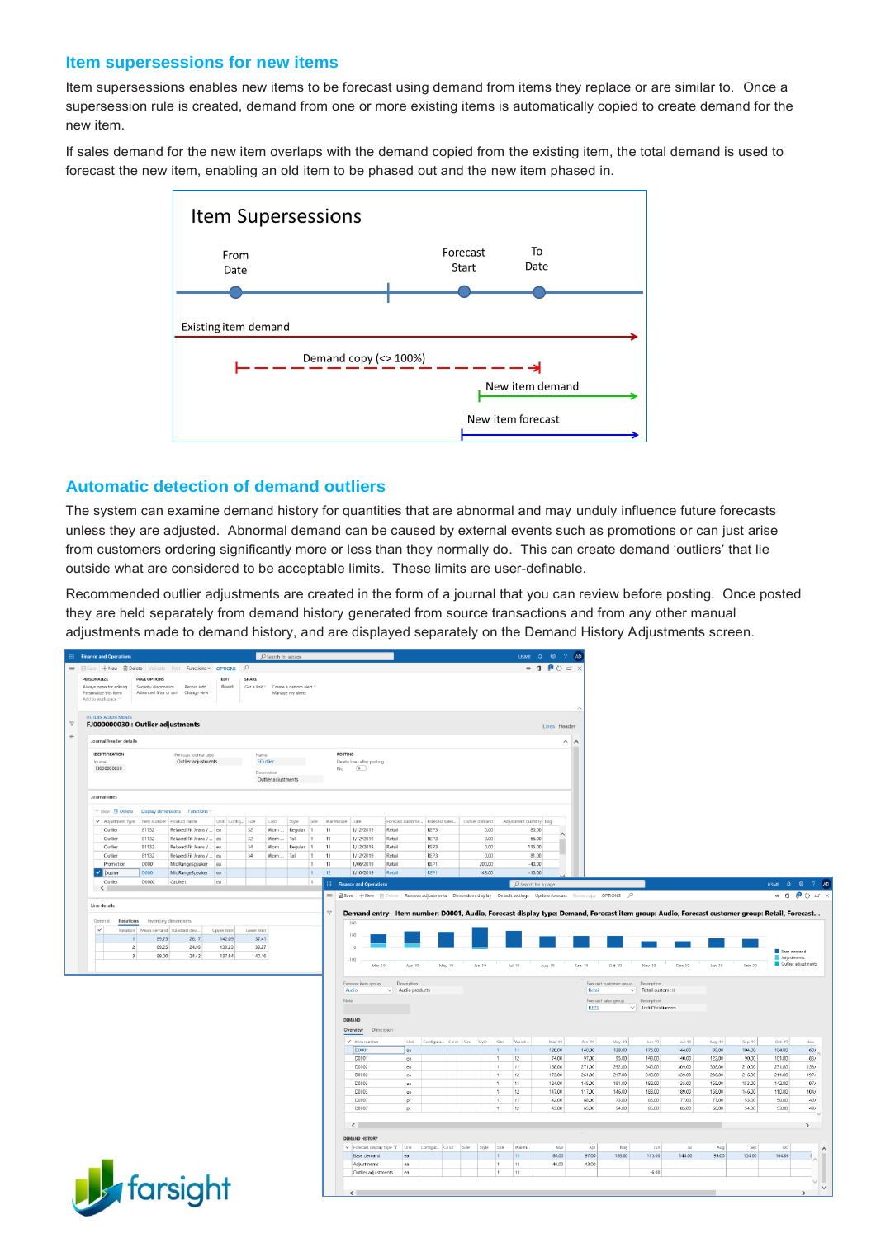#### **Item supersessions for new items**

Item supersessions enables new items to be forecast using demand from items they replace or are similar to. Once a supersession rule is created, demand from one or more existing items is automatically copied to create demand for the new item.

If sales demand for the new item overlaps with the demand copied from the existing item, the total demand is used to forecast the new item, enabling an old item to be phased out and the new item phased in.



#### **Automatic detection of demand outliers**

The system can examine demand history for quantities that are abnormal and may unduly influence future forecasts unless they are adjusted. Abnormal demand can be caused by external events such as promotions or can just arise from customers ordering significantly more or less than they normally do. This can create demand 'outliers' that lie outside what are considered to be acceptable limits. These limits are user-definable.

Recommended outlier adjustments are created in the form of a journal that you can review before posting. Once posted they are held separately from demand history generated from source transactions and from any other manual adjustments made to demand history, and are displayed separately on the Demand History Adjustments screen.

| ::: Finance and Operations                                                           |                      |                                                    |                         |                                 |                               |                                                          |                  |                     |                      |                                                                                                                                                              |                                                |                                          |                            |                             | USMF Q @ ? AD                    |                   |                              |                                                               |                                         |                  |                  |                  |                                           |               |
|--------------------------------------------------------------------------------------|----------------------|----------------------------------------------------|-------------------------|---------------------------------|-------------------------------|----------------------------------------------------------|------------------|---------------------|----------------------|--------------------------------------------------------------------------------------------------------------------------------------------------------------|------------------------------------------------|------------------------------------------|----------------------------|-----------------------------|----------------------------------|-------------------|------------------------------|---------------------------------------------------------------|-----------------------------------------|------------------|------------------|------------------|-------------------------------------------|---------------|
| <b>E Save +New @Delete</b> Validate Post Functions v OPTIONS                         |                      |                                                    |                         |                                 | $\circ$                       |                                                          |                  |                     |                      |                                                                                                                                                              |                                                |                                          |                            |                             | $\bullet$ 0 0 0 $\bullet$ x      |                   |                              |                                                               |                                         |                  |                  |                  |                                           |               |
| PERSONALIZE                                                                          | <b>PAGE OPTIONS</b>  |                                                    |                         | EDIT                            | SHARE                         |                                                          |                  |                     |                      |                                                                                                                                                              |                                                |                                          |                            |                             |                                  |                   |                              |                                                               |                                         |                  |                  |                  |                                           |               |
| Always open for editing<br>Personalize this form                                     | Security diagnostics | Record info<br>Advanced filter or sort Change view |                         | Revert                          |                               | Get a link ~ Create a custom alert ~<br>Manage my alerts |                  |                     |                      |                                                                                                                                                              |                                                |                                          |                            |                             |                                  |                   |                              |                                                               |                                         |                  |                  |                  |                                           |               |
| Add to workspace                                                                     |                      |                                                    |                         |                                 |                               |                                                          |                  |                     |                      |                                                                                                                                                              |                                                |                                          |                            |                             |                                  |                   |                              |                                                               |                                         |                  |                  |                  |                                           |               |
| <b>OUTLIER ADJUSTMENTS</b>                                                           |                      |                                                    |                         |                                 |                               |                                                          |                  |                     |                      |                                                                                                                                                              |                                                |                                          |                            |                             |                                  |                   |                              |                                                               |                                         |                  |                  |                  |                                           |               |
| FJ000000030 : Outlier adjustments                                                    |                      |                                                    |                         |                                 |                               |                                                          |                  |                     |                      |                                                                                                                                                              |                                                |                                          |                            |                             |                                  | Lines Header      |                              |                                                               |                                         |                  |                  |                  |                                           |               |
| Journal header details                                                               |                      |                                                    |                         |                                 |                               |                                                          |                  |                     |                      |                                                                                                                                                              |                                                |                                          |                            |                             |                                  |                   |                              |                                                               |                                         |                  |                  |                  |                                           |               |
|                                                                                      |                      |                                                    |                         |                                 |                               |                                                          |                  |                     |                      |                                                                                                                                                              |                                                |                                          |                            |                             |                                  | $\wedge$ $\wedge$ |                              |                                                               |                                         |                  |                  |                  |                                           |               |
| IDENTIFICATION<br>Journal                                                            |                      | Forecast journal type                              | Outlier adjustments     |                                 | Name                          | FOutlier                                                 |                  |                     | <b>POSTING</b>       | Delete lines after posting                                                                                                                                   |                                                |                                          |                            |                             |                                  |                   |                              |                                                               |                                         |                  |                  |                  |                                           |               |
| FJ000000030                                                                          |                      |                                                    |                         |                                 |                               | Description                                              |                  |                     | No                   | $\bullet$                                                                                                                                                    |                                                |                                          |                            |                             |                                  |                   |                              |                                                               |                                         |                  |                  |                  |                                           |               |
|                                                                                      |                      |                                                    |                         |                                 |                               | Outlier adjustments                                      |                  |                     |                      |                                                                                                                                                              |                                                |                                          |                            |                             |                                  |                   |                              |                                                               |                                         |                  |                  |                  |                                           |               |
| Journal lines                                                                        |                      |                                                    |                         |                                 |                               |                                                          |                  |                     |                      |                                                                                                                                                              |                                                |                                          |                            |                             |                                  |                   |                              |                                                               |                                         |                  |                  |                  |                                           |               |
|                                                                                      |                      |                                                    |                         |                                 |                               |                                                          |                  |                     |                      |                                                                                                                                                              |                                                |                                          |                            |                             |                                  |                   |                              |                                                               |                                         |                  |                  |                  |                                           |               |
| 十 New <b>B</b> Delete                                                                |                      | Display dimensions Functions ~                     |                         |                                 |                               |                                                          |                  |                     |                      |                                                                                                                                                              |                                                |                                          |                            |                             |                                  |                   |                              |                                                               |                                         |                  |                  |                  |                                           |               |
| V Adjustment type<br>Outlies                                                         | 81132                | Item number Product name<br>Relaxed Fit Jeans /    | lea                     | Unit Config Size                | 32                            | Color<br>Worn                                            | Style<br>Regular | Site<br>l s         | Warehouse Date<br>11 | 1/12/2019                                                                                                                                                    | Retail                                         | Forecast custome Forecast sales.<br>REP3 | Outlier demand<br>0.00     |                             | Adjustment quantity Log<br>80.00 |                   |                              |                                                               |                                         |                  |                  |                  |                                           |               |
| Outlier                                                                              | 81132                | Relaxed Fit Jeans /                                | lea                     |                                 | 32                            | Worn                                                     | Tall             | 1                   | 11                   | 1/12/2019                                                                                                                                                    | Retail                                         | REP3                                     | 0.00                       |                             | 66.00                            |                   |                              |                                                               |                                         |                  |                  |                  |                                           |               |
| Outlier                                                                              | 81132                | Relaxed Fit Jeans /                                | lea                     |                                 | 34                            | Worn                                                     | Regular          | $\vert$ 1           | 11                   | 1/12/2019                                                                                                                                                    | Retail                                         | REP3                                     | 0.00                       |                             | 115.00                           |                   |                              |                                                               |                                         |                  |                  |                  |                                           |               |
| Outlier                                                                              | 81132                |                                                    | Relaxed Fit Jeans /  ea |                                 | 34                            | Worn                                                     | Tall             | 1<br>$\overline{1}$ | 11<br>11             | 1/12/2019                                                                                                                                                    | Retail                                         | REP3                                     | 0.00                       |                             | 81.00                            |                   |                              |                                                               |                                         |                  |                  |                  |                                           |               |
| Promotion<br><b>V</b> Dutlier                                                        | D0001<br>D0001       | MidRangeSpeaker<br>MidRangeSpeaker                 | ea<br>lea               |                                 |                               |                                                          |                  | $\vert$ 1           | 12                   | 1/06/2019<br>1/10/2019                                                                                                                                       | Retail<br>Retail                               | REP1<br>REP1                             | 200.00<br>148.00           |                             | $-40.00$<br>$-10.00$             |                   |                              |                                                               |                                         |                  |                  |                  |                                           |               |
| Outlier                                                                              | D0002                | Cabinet                                            | ea                      |                                 |                               |                                                          |                  | $\vert$ 1           |                      | ::: Finance and Operations                                                                                                                                   |                                                |                                          |                            |                             | O Search for a page              |                   |                              |                                                               |                                         |                  |                  |                  | USMF Q @ ? AD                             |               |
| $\left\langle \right\rangle$                                                         |                      |                                                    |                         |                                 |                               |                                                          |                  |                     |                      | E ESave +New @ Delete Remove adjustments Dimensions display Default settings Update forecast Notes copy OPTIONS P                                            |                                                |                                          |                            |                             |                                  |                   |                              |                                                               |                                         |                  |                  |                  | $\bullet$ 0 $\bullet$ 0 $\sigma$ $\times$ |               |
| Iterations<br>General<br>$\checkmark$<br>Iteration<br>$\mathbf{1}$<br>$\overline{2}$ | 89.75<br>89.25       | Inventory dimensions<br>Mean demand Standard devi  | 26.17<br>24.99          | Upper limit<br>142.09<br>139.23 | Lower limit<br>37.41<br>39.27 |                                                          |                  |                     | Y                    | Demand entry - Item number: D0001, Audio, Forecast display type: Demand, Forecast item group: Audio, Forecast customer group: Retail, Forecast<br>200<br>100 |                                                |                                          |                            |                             |                                  |                   |                              |                                                               |                                         |                  |                  |                  | Base demand                               |               |
| $\overline{\mathbf{3}}$                                                              | 89.00                |                                                    | 24.42                   | 137.84                          | 40.16                         |                                                          |                  |                     | Note                 | $-100$<br>Mar-19<br>Forecast item group<br>Audio                                                                                                             | Apr-19<br>Description<br>$\vee$ Audio products | May-19                                   | $_{\text{lim-19}}$         | $Jul-19$                    | Aug-19                           | Sep-19            | Retail                       | Oct-19<br>Forecast customer group Description<br>$\checkmark$ | Nov-19<br>Retail customers              | Dec-19           | $Jan-20$         | Feb-20           | Adjustments<br>Outlier adjustments        |               |
| Line details                                                                         |                      |                                                    |                         |                                 |                               |                                                          |                  |                     |                      |                                                                                                                                                              |                                                |                                          |                            |                             |                                  |                   | Forecast sales group<br>REP1 |                                                               | Description<br>$\vee$ Jodi Christiansen |                  |                  |                  |                                           |               |
|                                                                                      |                      |                                                    |                         |                                 |                               |                                                          |                  |                     |                      | DEMAND                                                                                                                                                       |                                                |                                          |                            |                             |                                  |                   |                              |                                                               |                                         |                  |                  |                  |                                           |               |
|                                                                                      |                      |                                                    |                         |                                 |                               |                                                          |                  |                     |                      | Overview<br>Dimension                                                                                                                                        |                                                |                                          |                            |                             |                                  |                   |                              |                                                               |                                         |                  |                  |                  |                                           |               |
|                                                                                      |                      |                                                    |                         |                                 |                               |                                                          |                  |                     |                      | $\checkmark$ Item number                                                                                                                                     | Unit                                           |                                          | Configura Color Size Style | Site                        | Wareh<br>Mar-19                  |                   | $Area - 19$                  | May-19                                                        | $km-19$                                 | $J1 + 19$        | Aug-19           | Sem.19           | $Oct-19$                                  |               |
|                                                                                      |                      |                                                    |                         |                                 |                               |                                                          |                  |                     |                      | <b>D0001</b><br>DOO01                                                                                                                                        | ea<br>lea                                      |                                          |                            | 11<br>T.<br>h<br>12         | 120.00<br>74.00                  |                   | 140.00<br>97.00              | 138.00<br>95.00                                               | 175.00<br>148.00                        | 144.00<br>140.00 | 99.00<br>122.00  | 104.00<br>90.00  | 104.00<br>101.00                          |               |
|                                                                                      |                      |                                                    |                         |                                 |                               |                                                          |                  |                     |                      | D0002                                                                                                                                                        | ea                                             |                                          |                            | 11<br>Ŀ.                    | 168.00                           |                   | 271.00                       | 292.00                                                        | 340.00                                  | 309.00           | 308.00           | 210.00           | 231.00                                    |               |
|                                                                                      |                      |                                                    |                         |                                 |                               |                                                          |                  |                     |                      | D0002                                                                                                                                                        | ea                                             |                                          |                            | 12                          | 173.00                           |                   | 261.00                       | 217.00                                                        | 340.00                                  | 339.00           | 238.00           | 216.00           | 211.00                                    |               |
|                                                                                      |                      |                                                    |                         |                                 |                               |                                                          |                  |                     |                      | D0003<br>D0003                                                                                                                                               | ea                                             |                                          |                            | 11<br>Ŀ.<br>12<br>$\vert$ 1 | 124.00<br>147.00                 |                   | 145.00<br>117,00             | 191.00                                                        | 182.00<br>188.00                        | 135.00<br>189.00 | 165.00<br>168.00 | 153.00<br>146.00 | 142.00                                    |               |
|                                                                                      |                      |                                                    |                         |                                 |                               |                                                          |                  |                     |                      | <b>D0007</b>                                                                                                                                                 | ea<br>pr                                       |                                          |                            | $\mathbf{1}$<br>11          | 42.00                            |                   | 68.00                        | 146.00<br>73.00                                               | 85.00                                   | 77.00            | 77.00            | 53.00            | 110.00<br>58.00                           |               |
|                                                                                      |                      |                                                    |                         |                                 |                               |                                                          |                  |                     |                      | D0007                                                                                                                                                        | pr                                             |                                          |                            | 12<br>L.                    |                                  | 43.00             | 65.00                        | 54.00                                                         | 85.00                                   | 85.00            | 60.00            | 54.00            | 53.00                                     |               |
|                                                                                      |                      |                                                    |                         |                                 |                               |                                                          |                  |                     |                      |                                                                                                                                                              |                                                |                                          |                            |                             |                                  |                   |                              |                                                               |                                         |                  |                  |                  |                                           |               |
|                                                                                      |                      |                                                    |                         |                                 |                               |                                                          |                  |                     |                      | $\langle$                                                                                                                                                    |                                                |                                          |                            |                             |                                  |                   |                              |                                                               |                                         |                  |                  |                  |                                           |               |
|                                                                                      |                      |                                                    |                         |                                 |                               |                                                          |                  |                     |                      | <b>DEMAND HISTORY</b>                                                                                                                                        |                                                |                                          |                            |                             | Wareh.                           | Mar               |                              |                                                               |                                         | <b>Jul</b>       |                  |                  | Oct                                       |               |
|                                                                                      |                      |                                                    |                         |                                 |                               |                                                          |                  |                     |                      | $\checkmark$ Forecast display type $\overline{\mathbf{Y}}$ Unit<br>Base demand                                                                               | ea                                             | Configur Color                           | Size<br>Style              | Site<br>$\mathbf{1}$<br>11  |                                  | 80.00             | Apr<br>97.00                 | May<br>138.00                                                 | Jun<br>175.00                           | 144.00           | Aug<br>99.00     | Sep<br>104.00    | 104.00                                    |               |
|                                                                                      |                      |                                                    |                         |                                 |                               |                                                          |                  |                     |                      | Adjustments                                                                                                                                                  | ea                                             |                                          |                            | 11<br>Ŀ.                    |                                  | 40.00             | 43.00                        |                                                               |                                         |                  |                  |                  |                                           |               |
| <b>D</b> farsight                                                                    |                      |                                                    |                         |                                 |                               |                                                          |                  |                     |                      | Outlier adjustments                                                                                                                                          | ea                                             |                                          |                            | Ŀ.<br>11                    |                                  |                   |                              |                                                               | $-6.00$                                 |                  |                  |                  |                                           | $\rightarrow$ |